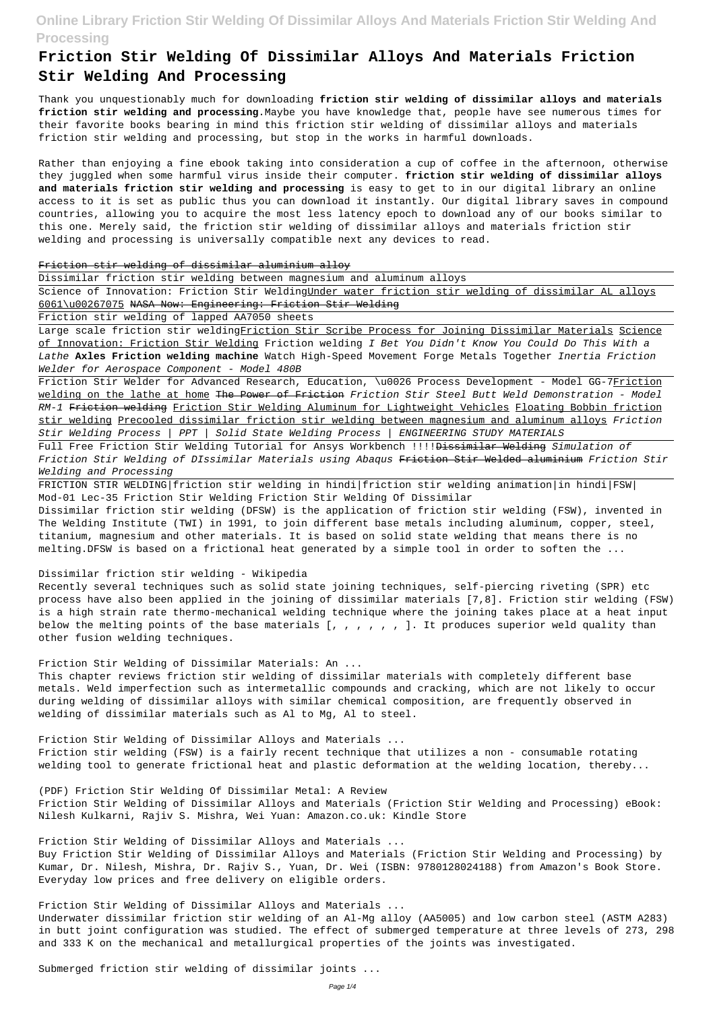# **Friction Stir Welding Of Dissimilar Alloys And Materials Friction Stir Welding And Processing**

Thank you unquestionably much for downloading **friction stir welding of dissimilar alloys and materials friction stir welding and processing**.Maybe you have knowledge that, people have see numerous times for their favorite books bearing in mind this friction stir welding of dissimilar alloys and materials friction stir welding and processing, but stop in the works in harmful downloads.

Science of Innovation: Friction Stir WeldingUnder water friction stir welding of dissimilar AL alloys 6061\u00267075 NASA Now: Engineering: Friction Stir Welding

Rather than enjoying a fine ebook taking into consideration a cup of coffee in the afternoon, otherwise they juggled when some harmful virus inside their computer. **friction stir welding of dissimilar alloys and materials friction stir welding and processing** is easy to get to in our digital library an online access to it is set as public thus you can download it instantly. Our digital library saves in compound countries, allowing you to acquire the most less latency epoch to download any of our books similar to this one. Merely said, the friction stir welding of dissimilar alloys and materials friction stir welding and processing is universally compatible next any devices to read.

Friction Stir Welder for Advanced Research, Education, \u0026 Process Development - Model GG-7Friction welding on the lathe at home The Power of Friction Friction Stir Steel Butt Weld Demonstration - Model RM-1 Friction welding Friction Stir Welding Aluminum for Lightweight Vehicles Floating Bobbin friction stir welding Precooled dissimilar friction stir welding between magnesium and aluminum alloys Friction Stir Welding Process | PPT | Solid State Welding Process | ENGINEERING STUDY MATERIALS

#### Friction stir welding of dissimilar aluminium alloy

Full Free Friction Stir Welding Tutorial for Ansys Workbench !!!! Dissimilar Welding Simulation of Friction Stir Welding of DIssimilar Materials using Abaqus Friction Stir Welded aluminium Friction Stir Welding and Processing

Dissimilar friction stir welding between magnesium and aluminum alloys

Dissimilar friction stir welding (DFSW) is the application of friction stir welding (FSW), invented in The Welding Institute (TWI) in 1991, to join different base metals including aluminum, copper, steel, titanium, magnesium and other materials. It is based on solid state welding that means there is no melting.DFSW is based on a frictional heat generated by a simple tool in order to soften the ...

Friction stir welding of lapped AA7050 sheets

Large scale friction stir weldingFriction Stir Scribe Process for Joining Dissimilar Materials Science of Innovation: Friction Stir Welding Friction welding I Bet You Didn't Know You Could Do This With a Lathe **Axles Friction welding machine** Watch High-Speed Movement Forge Metals Together Inertia Friction Welder for Aerospace Component - Model 480B

FRICTION STIR WELDING|friction stir welding in hindi|friction stir welding animation|in hindi|FSW| Mod-01 Lec-35 Friction Stir Welding Friction Stir Welding Of Dissimilar

#### Dissimilar friction stir welding - Wikipedia

Recently several techniques such as solid state joining techniques, self-piercing riveting (SPR) etc process have also been applied in the joining of dissimilar materials [7,8]. Friction stir welding (FSW) is a high strain rate thermo-mechanical welding technique where the joining takes place at a heat input below the melting points of the base materials [, , , , , , ]. It produces superior weld quality than other fusion welding techniques.

### Friction Stir Welding of Dissimilar Materials: An ...

This chapter reviews friction stir welding of dissimilar materials with completely different base metals. Weld imperfection such as intermetallic compounds and cracking, which are not likely to occur during welding of dissimilar alloys with similar chemical composition, are frequently observed in welding of dissimilar materials such as Al to Mg, Al to steel.

#### Friction Stir Welding of Dissimilar Alloys and Materials ...

Friction stir welding (FSW) is a fairly recent technique that utilizes a non - consumable rotating

welding tool to generate frictional heat and plastic deformation at the welding location, thereby...

(PDF) Friction Stir Welding Of Dissimilar Metal: A Review Friction Stir Welding of Dissimilar Alloys and Materials (Friction Stir Welding and Processing) eBook: Nilesh Kulkarni, Rajiv S. Mishra, Wei Yuan: Amazon.co.uk: Kindle Store

Friction Stir Welding of Dissimilar Alloys and Materials ...

Buy Friction Stir Welding of Dissimilar Alloys and Materials (Friction Stir Welding and Processing) by Kumar, Dr. Nilesh, Mishra, Dr. Rajiv S., Yuan, Dr. Wei (ISBN: 9780128024188) from Amazon's Book Store. Everyday low prices and free delivery on eligible orders.

Friction Stir Welding of Dissimilar Alloys and Materials ...

Underwater dissimilar friction stir welding of an Al-Mg alloy (AA5005) and low carbon steel (ASTM A283) in butt joint configuration was studied. The effect of submerged temperature at three levels of 273, 298 and 333 K on the mechanical and metallurgical properties of the joints was investigated.

Submerged friction stir welding of dissimilar joints ...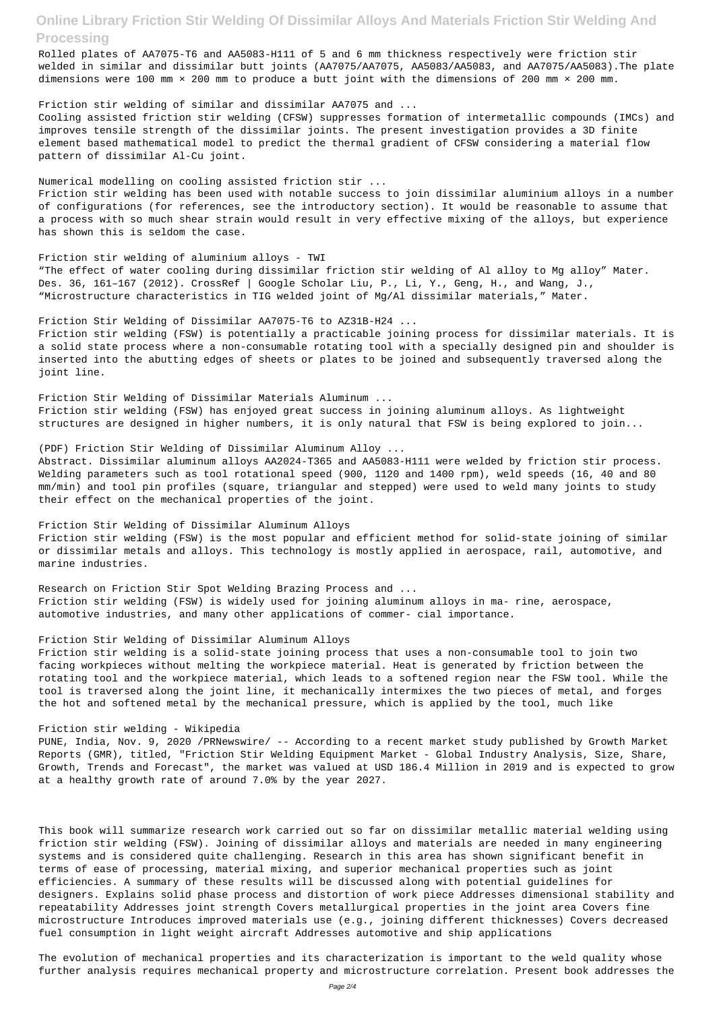Rolled plates of AA7075-T6 and AA5083-H111 of 5 and 6 mm thickness respectively were friction stir welded in similar and dissimilar butt joints (AA7075/AA7075, AA5083/AA5083, and AA7075/AA5083).The plate dimensions were 100 mm × 200 mm to produce a butt joint with the dimensions of 200 mm × 200 mm.

#### Friction stir welding of similar and dissimilar AA7075 and ...

Cooling assisted friction stir welding (CFSW) suppresses formation of intermetallic compounds (IMCs) and improves tensile strength of the dissimilar joints. The present investigation provides a 3D finite element based mathematical model to predict the thermal gradient of CFSW considering a material flow pattern of dissimilar Al-Cu joint.

#### Numerical modelling on cooling assisted friction stir ...

Friction stir welding has been used with notable success to join dissimilar aluminium alloys in a number of configurations (for references, see the introductory section). It would be reasonable to assume that a process with so much shear strain would result in very effective mixing of the alloys, but experience has shown this is seldom the case.

Friction stir welding of aluminium alloys - TWI "The effect of water cooling during dissimilar friction stir welding of Al alloy to Mg alloy" Mater. Des. 36, 161-167 (2012). CrossRef | Google Scholar Liu, P., Li, Y., Geng, H., and Wang, J., "Microstructure characteristics in TIG welded joint of Mg/Al dissimilar materials," Mater.

Friction Stir Welding of Dissimilar AA7075-T6 to AZ31B-H24 ...

Friction stir welding (FSW) is potentially a practicable joining process for dissimilar materials. It is a solid state process where a non-consumable rotating tool with a specially designed pin and shoulder is inserted into the abutting edges of sheets or plates to be joined and subsequently traversed along the joint line.

Friction Stir Welding of Dissimilar Materials Aluminum ... Friction stir welding (FSW) has enjoyed great success in joining aluminum alloys. As lightweight structures are designed in higher numbers, it is only natural that FSW is being explored to join...

(PDF) Friction Stir Welding of Dissimilar Aluminum Alloy ...

Abstract. Dissimilar aluminum alloys AA2024-T365 and AA5083-H111 were welded by friction stir process. Welding parameters such as tool rotational speed (900, 1120 and 1400 rpm), weld speeds (16, 40 and 80 mm/min) and tool pin profiles (square, triangular and stepped) were used to weld many joints to study their effect on the mechanical properties of the joint.

Friction Stir Welding of Dissimilar Aluminum Alloys Friction stir welding (FSW) is the most popular and efficient method for solid-state joining of similar or dissimilar metals and alloys. This technology is mostly applied in aerospace, rail, automotive, and marine industries.

Research on Friction Stir Spot Welding Brazing Process and ... Friction stir welding (FSW) is widely used for joining aluminum alloys in ma- rine, aerospace, automotive industries, and many other applications of commer- cial importance.

#### Friction Stir Welding of Dissimilar Aluminum Alloys

Friction stir welding is a solid-state joining process that uses a non-consumable tool to join two facing workpieces without melting the workpiece material. Heat is generated by friction between the rotating tool and the workpiece material, which leads to a softened region near the FSW tool. While the tool is traversed along the joint line, it mechanically intermixes the two pieces of metal, and forges the hot and softened metal by the mechanical pressure, which is applied by the tool, much like

### Friction stir welding - Wikipedia

PUNE, India, Nov. 9, 2020 /PRNewswire/ -- According to a recent market study published by Growth Market Reports (GMR), titled, "Friction Stir Welding Equipment Market - Global Industry Analysis, Size, Share,

Growth, Trends and Forecast", the market was valued at USD 186.4 Million in 2019 and is expected to grow at a healthy growth rate of around 7.0% by the year 2027.

This book will summarize research work carried out so far on dissimilar metallic material welding using friction stir welding (FSW). Joining of dissimilar alloys and materials are needed in many engineering systems and is considered quite challenging. Research in this area has shown significant benefit in terms of ease of processing, material mixing, and superior mechanical properties such as joint efficiencies. A summary of these results will be discussed along with potential guidelines for designers. Explains solid phase process and distortion of work piece Addresses dimensional stability and repeatability Addresses joint strength Covers metallurgical properties in the joint area Covers fine microstructure Introduces improved materials use (e.g., joining different thicknesses) Covers decreased fuel consumption in light weight aircraft Addresses automotive and ship applications

The evolution of mechanical properties and its characterization is important to the weld quality whose further analysis requires mechanical property and microstructure correlation. Present book addresses the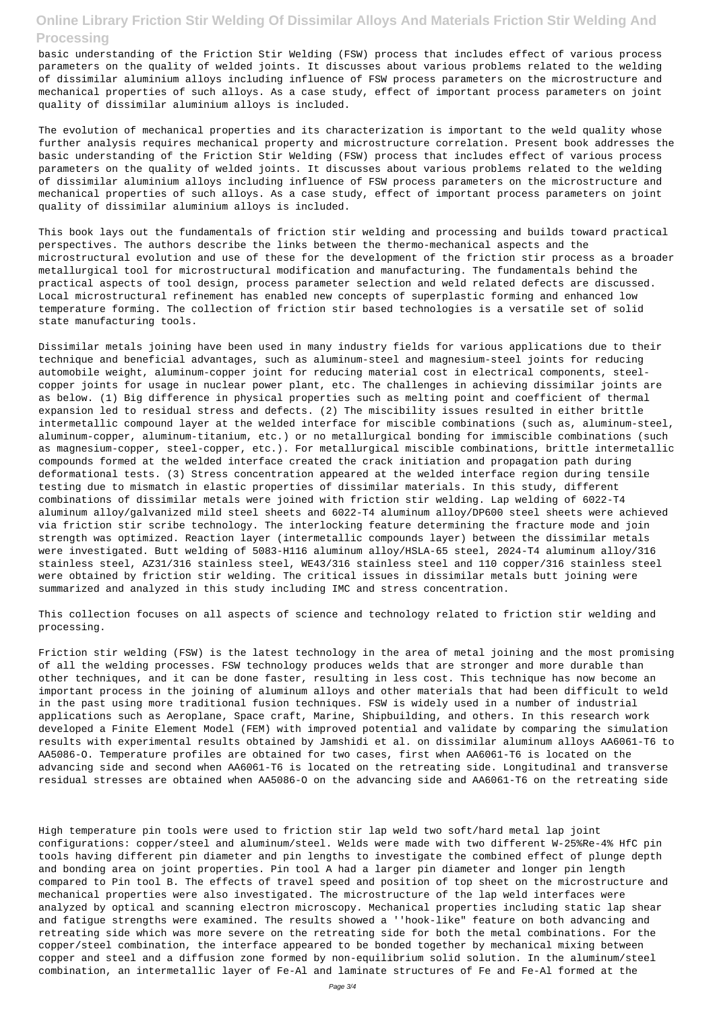basic understanding of the Friction Stir Welding (FSW) process that includes effect of various process parameters on the quality of welded joints. It discusses about various problems related to the welding of dissimilar aluminium alloys including influence of FSW process parameters on the microstructure and mechanical properties of such alloys. As a case study, effect of important process parameters on joint quality of dissimilar aluminium alloys is included.

The evolution of mechanical properties and its characterization is important to the weld quality whose further analysis requires mechanical property and microstructure correlation. Present book addresses the basic understanding of the Friction Stir Welding (FSW) process that includes effect of various process parameters on the quality of welded joints. It discusses about various problems related to the welding of dissimilar aluminium alloys including influence of FSW process parameters on the microstructure and mechanical properties of such alloys. As a case study, effect of important process parameters on joint quality of dissimilar aluminium alloys is included.

This book lays out the fundamentals of friction stir welding and processing and builds toward practical perspectives. The authors describe the links between the thermo-mechanical aspects and the microstructural evolution and use of these for the development of the friction stir process as a broader metallurgical tool for microstructural modification and manufacturing. The fundamentals behind the practical aspects of tool design, process parameter selection and weld related defects are discussed. Local microstructural refinement has enabled new concepts of superplastic forming and enhanced low temperature forming. The collection of friction stir based technologies is a versatile set of solid state manufacturing tools.

Dissimilar metals joining have been used in many industry fields for various applications due to their technique and beneficial advantages, such as aluminum-steel and magnesium-steel joints for reducing automobile weight, aluminum-copper joint for reducing material cost in electrical components, steelcopper joints for usage in nuclear power plant, etc. The challenges in achieving dissimilar joints are as below. (1) Big difference in physical properties such as melting point and coefficient of thermal expansion led to residual stress and defects. (2) The miscibility issues resulted in either brittle intermetallic compound layer at the welded interface for miscible combinations (such as, aluminum-steel, aluminum-copper, aluminum-titanium, etc.) or no metallurgical bonding for immiscible combinations (such as magnesium-copper, steel-copper, etc.). For metallurgical miscible combinations, brittle intermetallic compounds formed at the welded interface created the crack initiation and propagation path during deformational tests. (3) Stress concentration appeared at the welded interface region during tensile testing due to mismatch in elastic properties of dissimilar materials. In this study, different combinations of dissimilar metals were joined with friction stir welding. Lap welding of 6022-T4 aluminum alloy/galvanized mild steel sheets and 6022-T4 aluminum alloy/DP600 steel sheets were achieved via friction stir scribe technology. The interlocking feature determining the fracture mode and join strength was optimized. Reaction layer (intermetallic compounds layer) between the dissimilar metals were investigated. Butt welding of 5083-H116 aluminum alloy/HSLA-65 steel, 2024-T4 aluminum alloy/316 stainless steel, AZ31/316 stainless steel, WE43/316 stainless steel and 110 copper/316 stainless steel were obtained by friction stir welding. The critical issues in dissimilar metals butt joining were summarized and analyzed in this study including IMC and stress concentration.

This collection focuses on all aspects of science and technology related to friction stir welding and processing.

Friction stir welding (FSW) is the latest technology in the area of metal joining and the most promising of all the welding processes. FSW technology produces welds that are stronger and more durable than other techniques, and it can be done faster, resulting in less cost. This technique has now become an important process in the joining of aluminum alloys and other materials that had been difficult to weld in the past using more traditional fusion techniques. FSW is widely used in a number of industrial applications such as Aeroplane, Space craft, Marine, Shipbuilding, and others. In this research work developed a Finite Element Model (FEM) with improved potential and validate by comparing the simulation results with experimental results obtained by Jamshidi et al. on dissimilar aluminum alloys AA6061-T6 to AA5086-O. Temperature profiles are obtained for two cases, first when AA6061-T6 is located on the

advancing side and second when AA6061-T6 is located on the retreating side. Longitudinal and transverse residual stresses are obtained when AA5086-O on the advancing side and AA6061-T6 on the retreating side

High temperature pin tools were used to friction stir lap weld two soft/hard metal lap joint configurations: copper/steel and aluminum/steel. Welds were made with two different W-25%Re-4% HfC pin tools having different pin diameter and pin lengths to investigate the combined effect of plunge depth and bonding area on joint properties. Pin tool A had a larger pin diameter and longer pin length compared to Pin tool B. The effects of travel speed and position of top sheet on the microstructure and mechanical properties were also investigated. The microstructure of the lap weld interfaces were analyzed by optical and scanning electron microscopy. Mechanical properties including static lap shear and fatigue strengths were examined. The results showed a ''hook-like" feature on both advancing and retreating side which was more severe on the retreating side for both the metal combinations. For the copper/steel combination, the interface appeared to be bonded together by mechanical mixing between copper and steel and a diffusion zone formed by non-equilibrium solid solution. In the aluminum/steel combination, an intermetallic layer of Fe-Al and laminate structures of Fe and Fe-Al formed at the